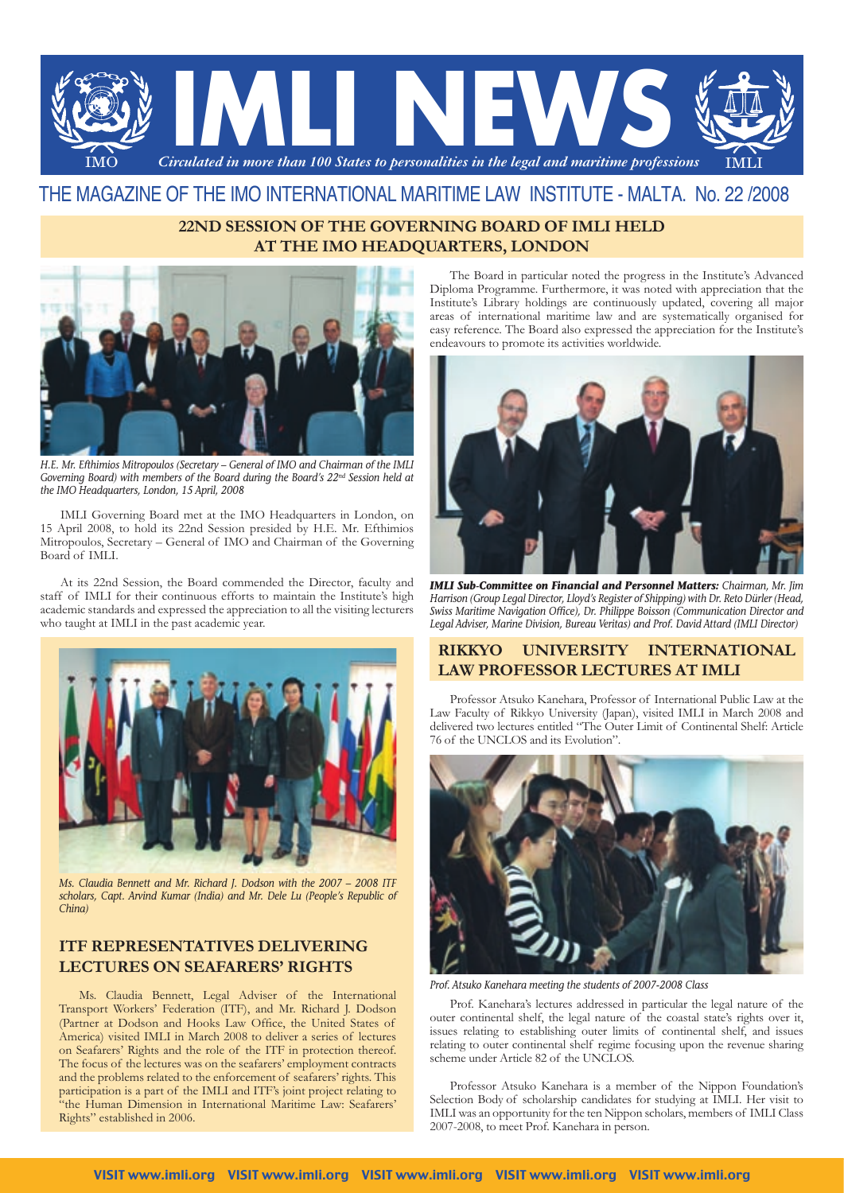

# THE MAGAZINE OF THE IMO INTERNATIONAL MARITIME LAW INSTITUTE - MALTA. No. 22 /2008

## **22ND SESSION OF THE GOVERNING BOARD OF IMLI HELD AT THE IMO HEADQUARTERS, LONDON**



*H.E. Mr. Efthimios Mitropoulos (Secretary – General of IMO and Chairman of the IMLI Governing Board) with members of the Board during the Board's 22nd Session held at the IMO Headquarters, London, 15 April, 2008*

IMLI Governing Board met at the IMO Headquarters in London, on 15 April 2008, to hold its 22nd Session presided by H.E. Mr. Efthimios Mitropoulos, Secretary – General of IMO and Chairman of the Governing Board of IMLI.

At its 22nd Session, the Board commended the Director, faculty and staff of IMLI for their continuous efforts to maintain the Institute's high academic standards and expressed the appreciation to all the visiting lecturers who taught at IMLI in the past academic year.



*Ms. Claudia Bennett and Mr. Richard J. Dodson with the 2007 – 2008 ITF scholars, Capt. Arvind Kumar (India) and Mr. Dele Lu (People's Republic of China)*

## **ITF REPRESENTATIVES DELIVERING LECTURES ON SEAFARERS' RIGHTS**

Ms. Claudia Bennett, Legal Adviser of the International Transport Workers' Federation (ITF), and Mr. Richard J. Dodson (Partner at Dodson and Hooks Law Office, the United States of America) visited IMLI in March 2008 to deliver a series of lectures on Seafarers' Rights and the role of the ITF in protection thereof. The focus of the lectures was on the seafarers' employment contracts and the problems related to the enforcement of seafarers' rights. This participation is a part of the IMLI and ITF's joint project relating to "the Human Dimension in International Maritime Law: Seafarers' Rights" established in 2006.

The Board in particular noted the progress in the Institute's Advanced Diploma Programme. Furthermore, it was noted with appreciation that the Institute's Library holdings are continuously updated, covering all major areas of international maritime law and are systematically organised for easy reference. The Board also expressed the appreciation for the Institute's endeavours to promote its activities worldwide.



*IMLI Sub-Committee on Financial and Personnel Matters: Chairman, Mr. Jim Harrison (Group Legal Director, Lloyd's Register of Shipping) with Dr. Reto Dürler (Head, Swiss Maritime Navigation Office), Dr. Philippe Boisson (Communication Director and Legal Adviser, Marine Division, Bureau Veritas) and Prof. David Attard (IMLI Director)* 

### **RIKKYO UNIVERSITY INTERNATIONAL LAW PROFESSOR LECTURES AT IMLI**

Professor Atsuko Kanehara, Professor of International Public Law at the Law Faculty of Rikkyo University (Japan), visited IMLI in March 2008 and delivered two lectures entitled "The Outer Limit of Continental Shelf: Article 76 of the UNCLOS and its Evolution".



*Prof. Atsuko Kanehara meeting the students of 2007-2008 Class*

Prof. Kanehara's lectures addressed in particular the legal nature of the outer continental shelf, the legal nature of the coastal state's rights over it, issues relating to establishing outer limits of continental shelf, and issues relating to outer continental shelf regime focusing upon the revenue sharing scheme under Article 82 of the UNCLOS.

Professor Atsuko Kanehara is a member of the Nippon Foundation's Selection Body of scholarship candidates for studying at IMLI. Her visit to IMLI was an opportunity for the ten Nippon scholars, members of IMLI Class 2007-2008, to meet Prof. Kanehara in person.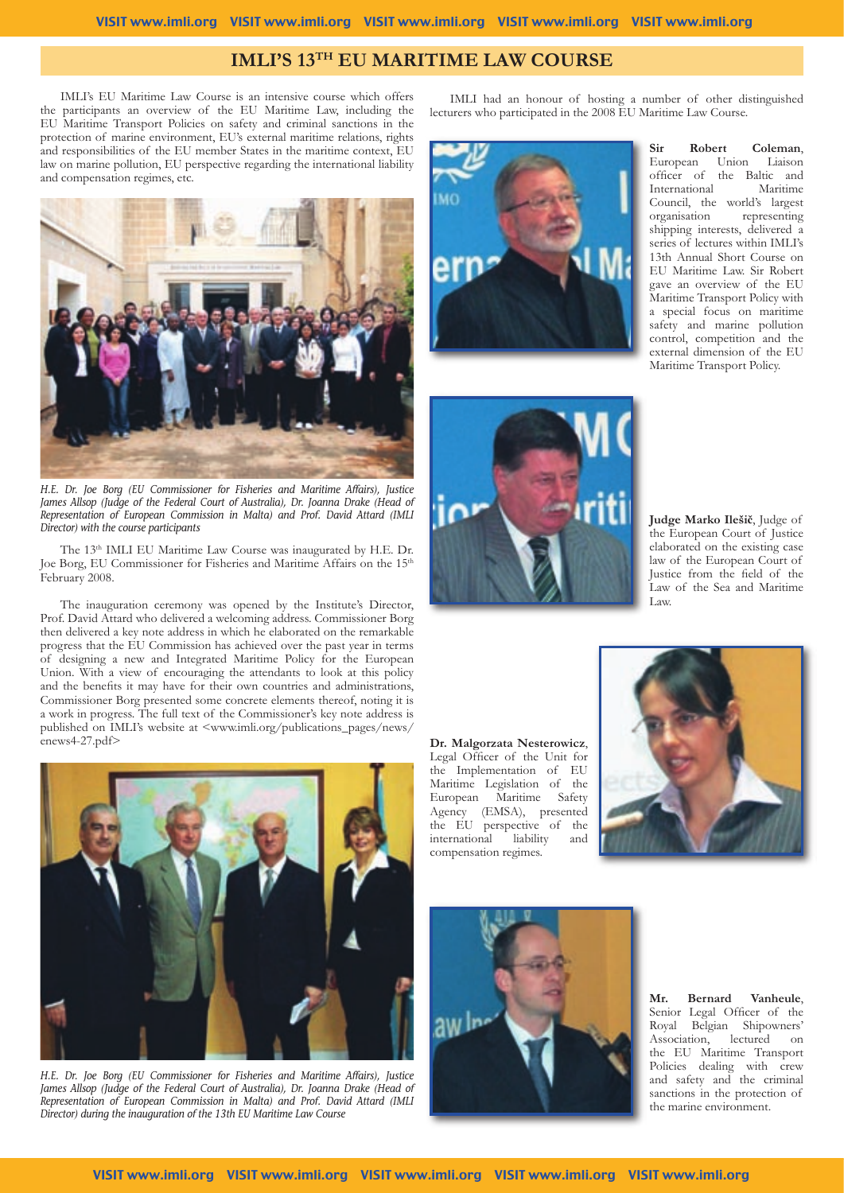# **IMLI'S 13TH EU MARITIME LAW COURSE**

IMLI's EU Maritime Law Course is an intensive course which offers the participants an overview of the EU Maritime Law, including the EU Maritime Transport Policies on safety and criminal sanctions in the protection of marine environment, EU's external maritime relations, rights and responsibilities of the EU member States in the maritime context, EU law on marine pollution, EU perspective regarding the international liability and compensation regimes, etc.



*H.E. Dr. Joe Borg (EU Commissioner for Fisheries and Maritime Affairs), Justice James Allsop (Judge of the Federal Court of Australia), Dr. Joanna Drake (Head of Representation of European Commission in Malta) and Prof. David Attard (IMLI Director) with the course participants*

The 13<sup>th</sup> IMLI EU Maritime Law Course was inaugurated by H.E. Dr. Joe Borg, EU Commissioner for Fisheries and Maritime Affairs on the 15<sup>th</sup> February 2008.

The inauguration ceremony was opened by the Institute's Director, Prof. David Attard who delivered a welcoming address. Commissioner Borg then delivered a key note address in which he elaborated on the remarkable progress that the EU Commission has achieved over the past year in terms of designing a new and Integrated Maritime Policy for the European Union. With a view of encouraging the attendants to look at this policy and the benefits it may have for their own countries and administrations, Commissioner Borg presented some concrete elements thereof, noting it is a work in progress. The full text of the Commissioner's key note address is published on IMLI's website at <www.imli.org/publications\_pages/news/ enews4-27.pdf>



*H.E. Dr. Joe Borg (EU Commissioner for Fisheries and Maritime Affairs), Justice James Allsop (Judge of the Federal Court of Australia), Dr. Joanna Drake (Head of Representation of European Commission in Malta) and Prof. David Attard (IMLI Director) during the inauguration of the 13th EU Maritime Law Course*

IMLI had an honour of hosting a number of other distinguished lecturers who participated in the 2008 EU Maritime Law Course.



**Sir Robert Coleman**, Union Liaison officer of the Baltic and International Maritime Council, the world's largest<br>organisation representing representing shipping interests, delivered a series of lectures within IMLI's 13th Annual Short Course on EU Maritime Law. Sir Robert gave an overview of the EU Maritime Transport Policy with a special focus on maritime safety and marine pollution control, competition and the external dimension of the EU Maritime Transport Policy.



**Judge Marko Ilešič**, Judge of the European Court of Justice elaborated on the existing case law of the European Court of Justice from the field of the Law of the Sea and Maritime Law.

**Dr. Malgorzata Nesterowicz**, Legal Officer of the Unit for the Implementation of EU Maritime Legislation of the European Maritime Safety Agency (EMSA), presented the EU perspective of the<br>international liability and international liability and compensation regimes.





**Mr. Bernard Vanheule**, Senior Legal Officer of the Royal Belgian Shipowners' Association, lectured on the EU Maritime Transport Policies dealing with crew and safety and the criminal sanctions in the protection of the marine environment.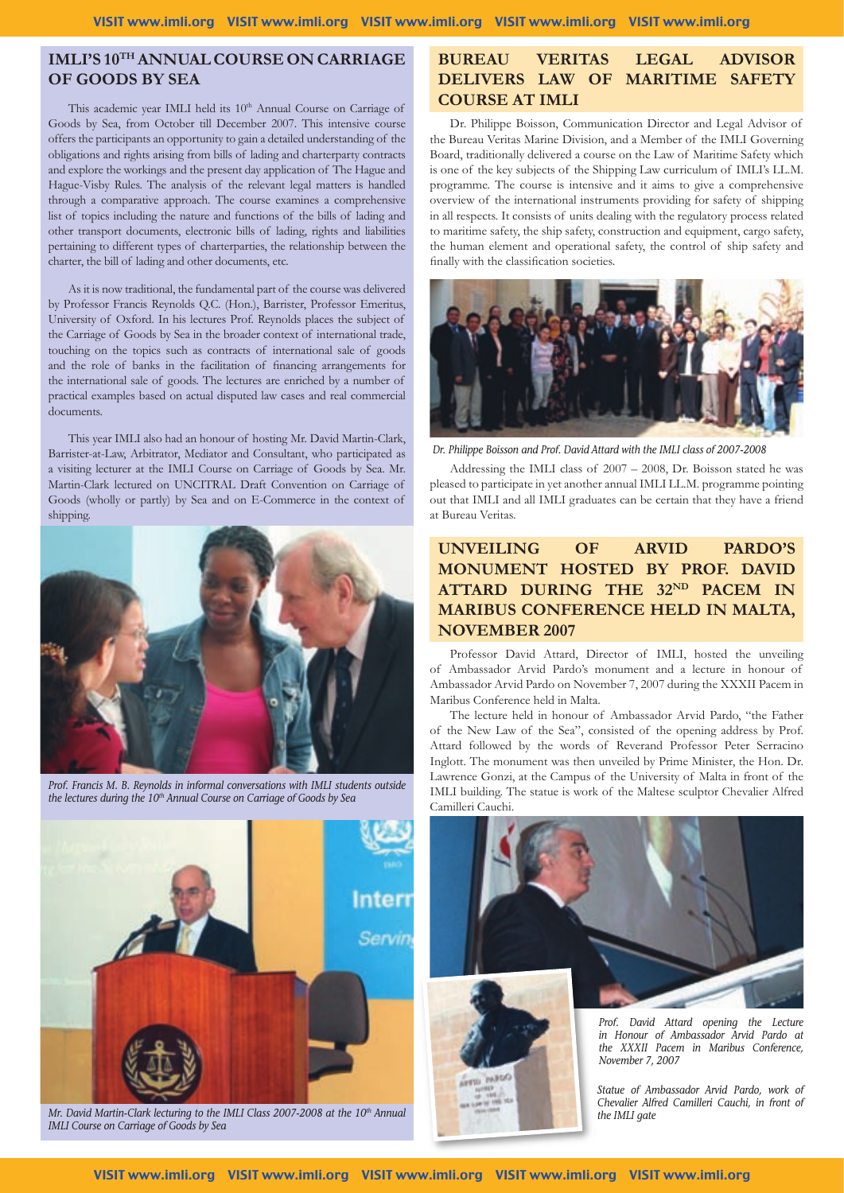# **IMLI'S 10TH ANNUAL COURSE ON CARRIAGE OF GOODS BY SEA**

This academic year IMLI held its 10<sup>th</sup> Annual Course on Carriage of Goods by Sea, from October till December 2007. This intensive course offers the participants an opportunity to gain a detailed understanding of the obligations and rights arising from bills of lading and charterparty contracts and explore the workings and the present day application of The Hague and Hague-Visby Rules. The analysis of the relevant legal matters is handled through a comparative approach. The course examines a comprehensive list of topics including the nature and functions of the bills of lading and other transport documents, electronic bills of lading, rights and liabilities pertaining to different types of charterparties, the relationship between the charter, the bill of lading and other documents, etc.

As it is now traditional, the fundamental part of the course was delivered by Professor Francis Reynolds Q.C. (Hon.), Barrister, Professor Emeritus, University of Oxford. In his lectures Prof. Reynolds places the subject of the Carriage of Goods by Sea in the broader context of international trade, touching on the topics such as contracts of international sale of goods and the role of banks in the facilitation of financing arrangements for the international sale of goods. The lectures are enriched by a number of practical examples based on actual disputed law cases and real commercial documents.

This year IMLI also had an honour of hosting Mr. David Martin-Clark, Barrister-at-Law, Arbitrator, Mediator and Consultant, who participated as a visiting lecturer at the IMLI Course on Carriage of Goods by Sea. Mr. Martin-Clark lectured on UNCITRAL Draft Convention on Carriage of Goods (wholly or partly) by Sea and on E-Commerce in the context of shipping.



*Prof. Francis M. B. Reynolds in informal conversations with IMLI students outside*  the lectures during the 10<sup>th</sup> Annual Course on Carriage of Goods by Sea



*Mr. David Martin-Clark lecturing to the IMLI Class 2007-2008 at the 10<sup>th</sup> Annual IMLI Course on Carriage of Goods by Sea*

## **BUREAU VERITAS LEGAL ADVISOR DELIVERS LAW OF MARITIME SAFETY COURSE AT IMLI**

Dr. Philippe Boisson, Communication Director and Legal Advisor of the Bureau Veritas Marine Division, and a Member of the IMLI Governing Board, traditionally delivered a course on the Law of Maritime Safety which is one of the key subjects of the Shipping Law curriculum of IMLI's LL.M. programme. The course is intensive and it aims to give a comprehensive overview of the international instruments providing for safety of shipping in all respects. It consists of units dealing with the regulatory process related to maritime safety, the ship safety, construction and equipment, cargo safety, the human element and operational safety, the control of ship safety and finally with the classification societies.



 *Dr. Philippe Boisson and Prof. David Attard with the IMLI class of 2007-2008*

Addressing the IMLI class of 2007 – 2008, Dr. Boisson stated he was pleased to participate in yet another annual IMLI LL.M. programme pointing out that IMLI and all IMLI graduates can be certain that they have a friend at Bureau Veritas.

# **UNVEILING OF ARVID PARDO'S MONUMENT HOSTED BY PROF. DAVID ATTARD DURING THE 32ND PACEM IN MARIBUS CONFERENCE HELD IN MALTA, NOVEMBER 2007**

Professor David Attard, Director of IMLI, hosted the unveiling of Ambassador Arvid Pardo's monument and a lecture in honour of Ambassador Arvid Pardo on November 7, 2007 during the XXXII Pacem in Maribus Conference held in Malta.

The lecture held in honour of Ambassador Arvid Pardo, "the Father of the New Law of the Sea", consisted of the opening address by Prof. Attard followed by the words of Reverand Professor Peter Serracino Inglott. The monument was then unveiled by Prime Minister, the Hon. Dr. Lawrence Gonzi, at the Campus of the University of Malta in front of the IMLI building. The statue is work of the Maltese sculptor Chevalier Alfred Camilleri Cauchi.



*in Honour of Ambassador Arvid Pardo at the XXXII Pacem in Maribus Conference, November 7, 2007*

*Statue of Ambassador Arvid Pardo, work of Chevalier Alfred Camilleri Cauchi, in front of the IMLI gate*